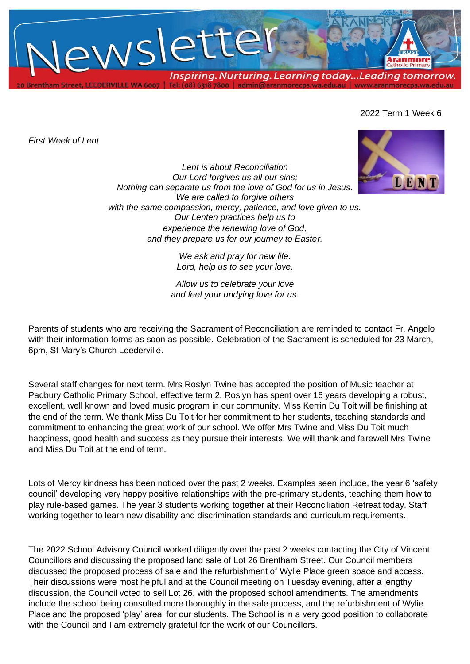

## 2022 Term 1 Week 6

*First Week of Lent*



*Lent is about Reconciliation Our Lord forgives us all our sins; Nothing can separate us from the love of God for us in Jesus. We are called to forgive others with the same compassion, mercy, patience, and love given to us. Our Lenten practices help us to experience the renewing love of God, and they prepare us for our journey to Easter.*

> *We ask and pray for new life. Lord, help us to see your love.*

*Allow us to celebrate your love and feel your undying love for us.*

Parents of students who are receiving the Sacrament of Reconciliation are reminded to contact Fr. Angelo with their information forms as soon as possible. Celebration of the Sacrament is scheduled for 23 March, 6pm, St Mary's Church Leederville.

Several staff changes for next term. Mrs Roslyn Twine has accepted the position of Music teacher at Padbury Catholic Primary School, effective term 2. Roslyn has spent over 16 years developing a robust, excellent, well known and loved music program in our community. Miss Kerrin Du Toit will be finishing at the end of the term. We thank Miss Du Toit for her commitment to her students, teaching standards and commitment to enhancing the great work of our school. We offer Mrs Twine and Miss Du Toit much happiness, good health and success as they pursue their interests. We will thank and farewell Mrs Twine and Miss Du Toit at the end of term.

Lots of Mercy kindness has been noticed over the past 2 weeks. Examples seen include, the year 6 'safety council' developing very happy positive relationships with the pre-primary students, teaching them how to play rule-based games. The year 3 students working together at their Reconciliation Retreat today. Staff working together to learn new disability and discrimination standards and curriculum requirements.

The 2022 School Advisory Council worked diligently over the past 2 weeks contacting the City of Vincent Councillors and discussing the proposed land sale of Lot 26 Brentham Street. Our Council members discussed the proposed process of sale and the refurbishment of Wylie Place green space and access. Their discussions were most helpful and at the Council meeting on Tuesday evening, after a lengthy discussion, the Council voted to sell Lot 26, with the proposed school amendments. The amendments include the school being consulted more thoroughly in the sale process, and the refurbishment of Wylie Place and the proposed 'play' area' for our students. The School is in a very good position to collaborate with the Council and I am extremely grateful for the work of our Councillors.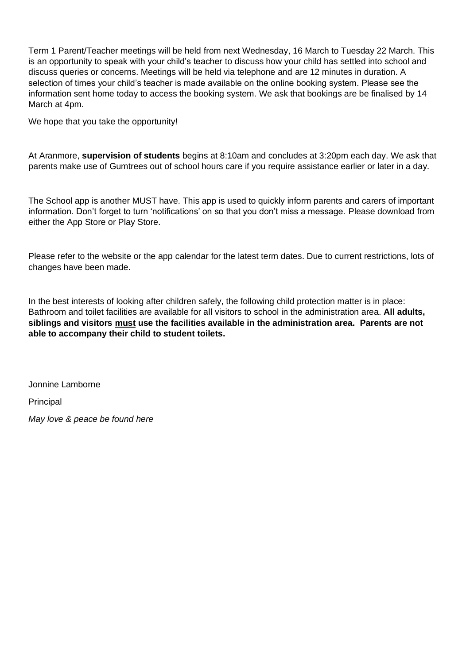Term 1 Parent/Teacher meetings will be held from next Wednesday, 16 March to Tuesday 22 March. This is an opportunity to speak with your child's teacher to discuss how your child has settled into school and discuss queries or concerns. Meetings will be held via telephone and are 12 minutes in duration. A selection of times your child's teacher is made available on the online booking system. Please see the information sent home today to access the booking system. We ask that bookings are be finalised by 14 March at 4pm.

We hope that you take the opportunity!

At Aranmore, **supervision of students** begins at 8:10am and concludes at 3:20pm each day. We ask that parents make use of Gumtrees out of school hours care if you require assistance earlier or later in a day.

The School app is another MUST have. This app is used to quickly inform parents and carers of important information. Don't forget to turn 'notifications' on so that you don't miss a message. Please download from either the App Store or Play Store.

Please refer to the website or the app calendar for the latest term dates. Due to current restrictions, lots of changes have been made.

In the best interests of looking after children safely, the following child protection matter is in place: Bathroom and toilet facilities are available for all visitors to school in the administration area. **All adults, siblings and visitors must use the facilities available in the administration area. Parents are not able to accompany their child to student toilets.**

Jonnine Lamborne

**Principal** 

*May love & peace be found here*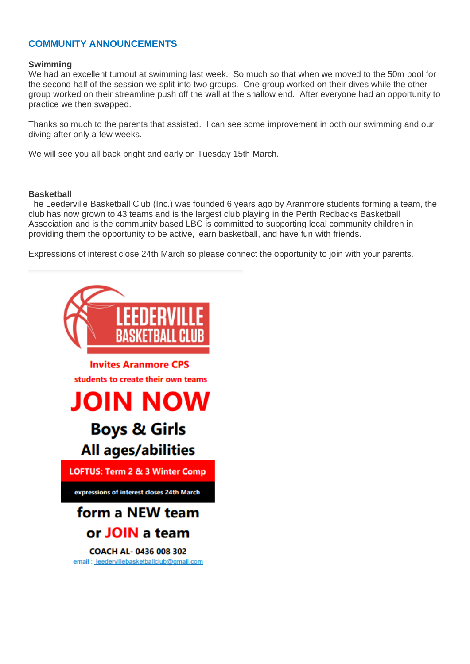## **COMMUNITY ANNOUNCEMENTS**

#### **Swimming**

We had an excellent turnout at swimming last week. So much so that when we moved to the 50m pool for the second half of the session we split into two groups. One group worked on their dives while the other group worked on their streamline push off the wall at the shallow end. After everyone had an opportunity to practice we then swapped.

Thanks so much to the parents that assisted. I can see some improvement in both our swimming and our diving after only a few weeks.

We will see you all back bright and early on Tuesday 15th March.

#### **Basketball**

The Leederville Basketball Club (Inc.) was founded 6 years ago by Aranmore students forming a team, the club has now grown to 43 teams and is the largest club playing in the Perth Redbacks Basketball Association and is the community based LBC is committed to supporting local community children in providing them the opportunity to be active, learn basketball, and have fun with friends.

Expressions of interest close 24th March so please connect the opportunity to join with your parents.